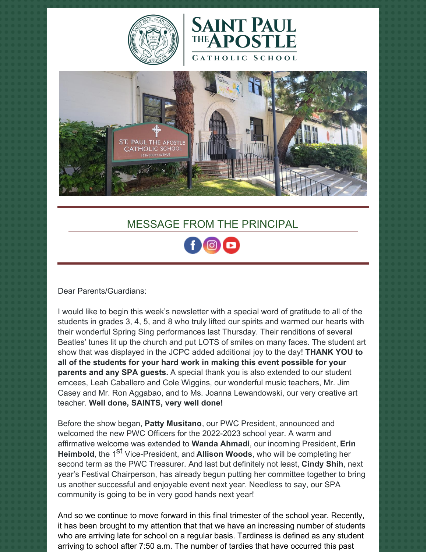





# MESSAGE FROM THE PRINCIPAL

Dear Parents/Guardians:

I would like to begin this week's newsletter with a special word of gratitude to all of the students in grades 3, 4, 5, and 8 who truly lifted our spirits and warmed our hearts with their wonderful Spring Sing performances last Thursday. Their renditions of several Beatles' tunes lit up the church and put LOTS of smiles on many faces. The student art show that was displayed in the JCPC added additional joy to the day! **THANK YOU to all of the students for your hard work in making this event possible for your parents and any SPA guests.** A special thank you is also extended to our student emcees, Leah Caballero and Cole Wiggins, our wonderful music teachers, Mr. Jim Casey and Mr. Ron Aggabao, and to Ms. Joanna Lewandowski, our very creative art teacher. **Well done, SAINTS, very well done!**

Before the show began, **Patty Musitano**, our PWC President, announced and welcomed the new PWC Officers for the 2022-2023 school year. A warm and affirmative welcome was extended to **Wanda Ahmadi**, our incoming President, **Erin Heimbold**, the 1<sup>st</sup> Vice-President, and **Allison Woods**, who will be completing her second term as the PWC Treasurer. And last but definitely not least, **Cindy Shih**, next year's Festival Chairperson, has already begun putting her committee together to bring us another successful and enjoyable event next year. Needless to say, our SPA community is going to be in very good hands next year!

And so we continue to move forward in this final trimester of the school year. Recently, it has been brought to my attention that that we have an increasing number of students who are arriving late for school on a regular basis. Tardiness is defined as any student arriving to school after 7:50 a.m. The number of tardies that have occurred this past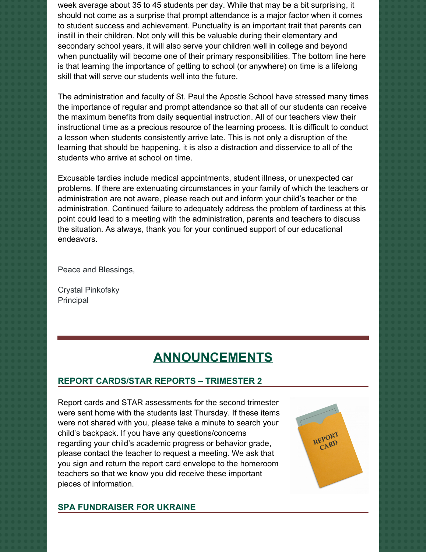week average about 35 to 45 students per day. While that may be a bit surprising, it should not come as a surprise that prompt attendance is a major factor when it comes to student success and achievement. Punctuality is an important trait that parents can instill in their children. Not only will this be valuable during their elementary and secondary school years, it will also serve your children well in college and beyond when punctuality will become one of their primary responsibilities. The bottom line here is that learning the importance of getting to school (or anywhere) on time is a lifelong skill that will serve our students well into the future.

The administration and faculty of St. Paul the Apostle School have stressed many times the importance of regular and prompt attendance so that all of our students can receive the maximum benefits from daily sequential instruction. All of our teachers view their instructional time as a precious resource of the learning process. It is difficult to conduct a lesson when students consistently arrive late. This is not only a disruption of the learning that should be happening, it is also a distraction and disservice to all of the students who arrive at school on time.

Excusable tardies include medical appointments, student illness, or unexpected car problems. If there are extenuating circumstances in your family of which the teachers or administration are not aware, please reach out and inform your child's teacher or the administration. Continued failure to adequately address the problem of tardiness at this point could lead to a meeting with the administration, parents and teachers to discuss the situation. As always, thank you for your continued support of our educational endeavors.

Peace and Blessings,

Crystal Pinkofsky Principal

# **ANNOUNCEMENTS**

# **REPORT CARDS/STAR REPORTS – TRIMESTER 2**

Report cards and STAR assessments for the second trimester were sent home with the students last Thursday. If these items were not shared with you, please take a minute to search your child's backpack. If you have any questions/concerns regarding your child's academic progress or behavior grade, please contact the teacher to request a meeting. We ask that you sign and return the report card envelope to the homeroom teachers so that we know you did receive these important pieces of information.



#### **SPA FUNDRAISER FOR UKRAINE**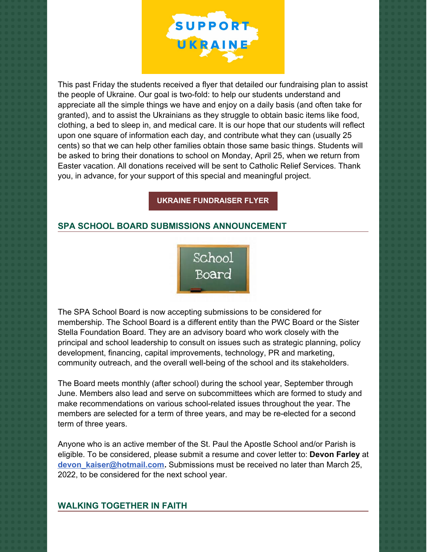

This past Friday the students received a flyer that detailed our fundraising plan to assist the people of Ukraine. Our goal is two-fold: to help our students understand and appreciate all the simple things we have and enjoy on a daily basis (and often take for granted), and to assist the Ukrainians as they struggle to obtain basic items like food, clothing, a bed to sleep in, and medical care. It is our hope that our students will reflect upon one square of information each day, and contribute what they can (usually 25 cents) so that we can help other families obtain those same basic things. Students will be asked to bring their donations to school on Monday, April 25, when we return from Easter vacation. All donations received will be sent to Catholic Relief Services. Thank you, in advance, for your support of this special and meaningful project.

**UKRAINE [FUNDRAISER](https://school.sp-apostle.org/wp-content/uploads/2022/03/I-Am-Blessed-Ukraine-Fundraiser.pdf) FLYER**

### **SPA SCHOOL BOARD SUBMISSIONS ANNOUNCEMENT**



The SPA School Board is now accepting submissions to be considered for membership. The School Board is a different entity than the PWC Board or the Sister Stella Foundation Board. They are an advisory board who work closely with the principal and school leadership to consult on issues such as strategic planning, policy development, financing, capital improvements, technology, PR and marketing, community outreach, and the overall well-being of the school and its stakeholders.

The Board meets monthly (after school) during the school year, September through June. Members also lead and serve on subcommittees which are formed to study and make recommendations on various school-related issues throughout the year. The members are selected for a term of three years, and may be re-elected for a second term of three years.

Anyone who is an active member of the St. Paul the Apostle School and/or Parish is eligible. To be considered, please submit a resume and cover letter to: **Devon Farley** at **[devon\\_kaiser@hotmail.com](mailto:devon_kaiser@hotmail.com).** Submissions must be received no later than March 25, 2022, to be considered for the next school year.

#### **WALKING TOGETHER IN FAITH**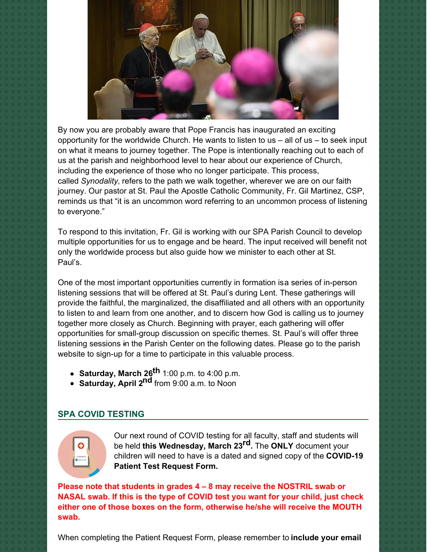

By now you are probably aware that Pope Francis has inaugurated an exciting opportunity for the worldwide Church. He wants to listen to us  $-$  all of us  $-$  to seek input on what it means to journey together. The Pope is intentionally reaching out to each of us at the parish and neighborhood level to hear about our experience of Church, including the experience of those who no longer participate. This process, called *Synodality,* refers to the path we walk together, wherever we are on our faith journey. Our pastor at St. Paul the Apostle Catholic Community, Fr. Gil Martinez, CSP, reminds us that "it is an uncommon word referring to an uncommon process of listening to everyone."

To respond to this invitation, Fr. Gil is working with our SPA Parish Council to develop multiple opportunities for us to engage and be heard. The input received will benefit not only the worldwide process but also guide how we minister to each other at St. Paul's.

One of the most important opportunities currently in formation isa series of in-person listening sessions that will be offered at St. Paul's during Lent. These gatherings will provide the faithful, the marginalized, the disaffiliated and all others with an opportunity to listen to and learn from one another, and to discern how God is calling us to journey together more closely as Church. Beginning with prayer, each gathering will offer opportunities for small-group discussion on specific themes. St. Paul's will offer three listening sessions in the Parish Center on the following dates. Please go to the parish website to sign-up for a time to participate in this valuable process.

- **Saturday, March 26 th** 1:00 p.m. to 4:00 p.m.
- **Saturday, April 2 nd** from 9:00 a.m. to Noon

# **SPA COVID TESTING**



Our next round of COVID testing for all faculty, staff and students will be held **this Wednesday, March 23 rd.** The **ONLY** document your children will need to have is a dated and signed copy of the **COVID-19 Patient Test Request Form.**

**Please note that students in grades 4 – 8 may receive the NOSTRIL swab or NASAL swab. If this is the type of COVID test you want for your child, just check either one of those boxes on the form, otherwise he/she will receive the MOUTH swab.**

When completing the Patient Request Form, please remember to **include your email**